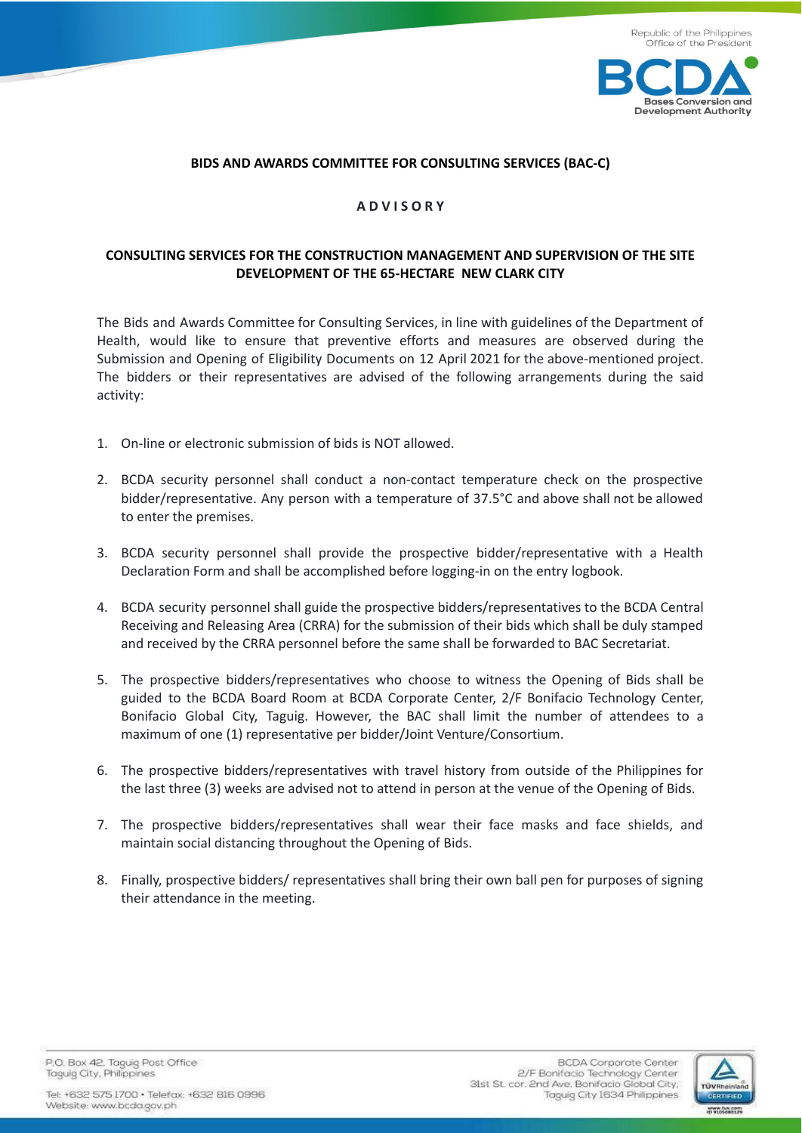



#### **BIDS AND AWARDS COMMITTEE FOR CONSULTING SERVICES (BAC-C)**

## **A D V I S O R Y**

# **CONSULTING SERVICES FOR THE CONSTRUCTION MANAGEMENT AND SUPERVISION OF THE SITE DEVELOPMENT OF THE 65-HECTARE NEW CLARK CITY**

The Bids and Awards Committee for Consulting Services, in line with guidelines of the Department of Health, would like to ensure that preventive efforts and measures are observed during the Submission and Opening of Eligibility Documents on 12 April 2021 for the above-mentioned project. The bidders or their representatives are advised of the following arrangements during the said activity:

- 1. On-line or electronic submission of bids is NOT allowed.
- 2. BCDA security personnel shall conduct a non-contact temperature check on the prospective bidder/representative. Any person with a temperature of 37.5°C and above shall not be allowed to enter the premises.
- 3. BCDA security personnel shall provide the prospective bidder/representative with a Health Declaration Form and shall be accomplished before logging-in on the entry logbook.
- 4. BCDA security personnel shall guide the prospective bidders/representatives to the BCDA Central Receiving and Releasing Area (CRRA) for the submission of their bids which shall be duly stamped and received by the CRRA personnel before the same shall be forwarded to BAC Secretariat.
- 5. The prospective bidders/representatives who choose to witness the Opening of Bids shall be guided to the BCDA Board Room at BCDA Corporate Center, 2/F Bonifacio Technology Center, Bonifacio Global City, Taguig. However, the BAC shall limit the number of attendees to a maximum of one (1) representative per bidder/Joint Venture/Consortium.
- 6. The prospective bidders/representatives with travel history from outside of the Philippines for the last three (3) weeks are advised not to attend in person at the venue of the Opening of Bids.
- 7. The prospective bidders/representatives shall wear their face masks and face shields, and maintain social distancing throughout the Opening of Bids.
- 8. Finally, prospective bidders/ representatives shall bring their own ball pen for purposes of signing their attendance in the meeting.